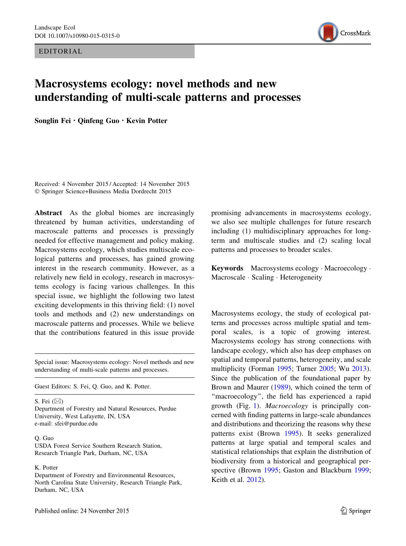EDITORIAL



# Macrosystems ecology: novel methods and new understanding of multi-scale patterns and processes

Songlin Fei . Qinfeng Guo . Kevin Potter

Received: 4 November 2015 / Accepted: 14 November 2015 - Springer Science+Business Media Dordrecht 2015

Abstract As the global biomes are increasingly threatened by human activities, understanding of macroscale patterns and processes is pressingly needed for effective management and policy making. Macrosystems ecology, which studies multiscale ecological patterns and processes, has gained growing interest in the research community. However, as a relatively new field in ecology, research in macrosystems ecology is facing various challenges. In this special issue, we highlight the following two latest exciting developments in this thriving field: (1) novel tools and methods and (2) new understandings on macroscale patterns and processes. While we believe that the contributions featured in this issue provide

Special issue: Macrosystems ecology: Novel methods and new understanding of multi-scale patterns and processes.

Guest Editors: S. Fei, Q. Guo, and K. Potter.

S. Fei  $(\boxtimes)$ 

Department of Forestry and Natural Resources, Purdue University, West Lafayette, IN, USA e-mail: sfei@purdue.edu

#### Q. Guo

USDA Forest Service Southern Research Station, Research Triangle Park, Durham, NC, USA

#### K. Potter

Department of Forestry and Environmental Resources, North Carolina State University, Research Triangle Park, Durham, NC, USA

promising advancements in macrosystems ecology, we also see multiple challenges for future research including (1) multidisciplinary approaches for longterm and multiscale studies and (2) scaling local patterns and processes to broader scales.

Keywords Macrosystems ecology - Macroecology - Macroscale · Scaling · Heterogeneity

Macrosystems ecology, the study of ecological patterns and processes across multiple spatial and temporal scales, is a topic of growing interest. Macrosystems ecology has strong connections with landscape ecology, which also has deep emphases on spatial and temporal patterns, heterogeneity, and scale multiplicity (Forman [1995](#page-4-0); Turner [2005](#page-5-0); Wu [2013](#page-5-0)). Since the publication of the foundational paper by Brown and Maurer ([1989\)](#page-4-0), which coined the term of "macroecology", the field has experienced a rapid growth (Fig. [1](#page-1-0)). Macroecology is principally concerned with finding patterns in large-scale abundances and distributions and theorizing the reasons why these patterns exist (Brown [1995](#page-4-0)). It seeks generalized patterns at large spatial and temporal scales and statistical relationships that explain the distribution of biodiversity from a historical and geographical per-spective (Brown [1995;](#page-4-0) Gaston and Blackburn [1999](#page-4-0); Keith et al. [2012\)](#page-5-0).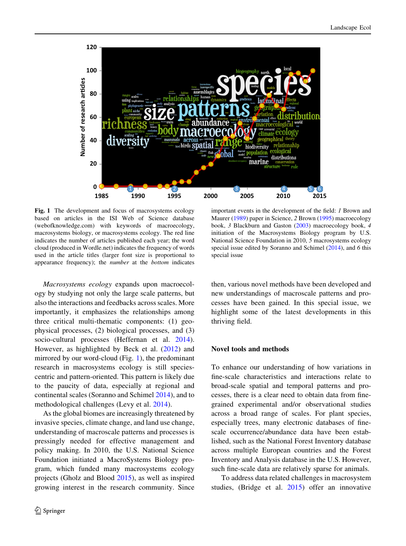<span id="page-1-0"></span>

Fig. 1 The development and focus of macrosystems ecology based on articles in the ISI Web of Science database (webofknowledge.com) with keywords of macroecology, macrosystems biology, or macrosystems ecology. The red line indicates the number of articles published each year; the word cloud (produced in Wordle.net) indicates the frequency of words used in the article titles (larger font size is proportional to appearance frequency); the number at the bottom indicates

Macrosystems ecology expands upon macroecology by studying not only the large scale patterns, but also the interactions and feedbacks across scales. More importantly, it emphasizes the relationships among three critical multi-thematic components: (1) geophysical processes, (2) biological processes, and (3) socio-cultural processes (Heffernan et al. [2014](#page-4-0)). However, as highlighted by Beck et al. [\(2012](#page-4-0)) and mirrored by our word-cloud (Fig. 1), the predominant research in macrosystems ecology is still speciescentric and pattern-oriented. This pattern is likely due to the paucity of data, especially at regional and continental scales (Soranno and Schimel [2014\)](#page-5-0), and to methodological challenges (Levy et al. [2014](#page-5-0)).

As the global biomes are increasingly threatened by invasive species, climate change, and land use change, understanding of macroscale patterns and processes is pressingly needed for effective management and policy making. In 2010, the U.S. National Science Foundation initiated a MacroSystems Biology program, which funded many macrosystems ecology projects (Gholz and Blood [2015\)](#page-4-0), as well as inspired growing interest in the research community. Since

important events in the development of the field: 1 Brown and Maurer ([1989\)](#page-4-0) paper in Science, 2 Brown [\(1995](#page-4-0)) macroecology book, 3 Blackburn and Gaston [\(2003](#page-4-0)) macroecology book, 4 initiation of the Macrosystems Biology program by U.S. National Science Foundation in 2010, 5 macrosystems ecology special issue edited by Soranno and Schimel  $(2014)$  $(2014)$  $(2014)$ , and 6 this special issue

then, various novel methods have been developed and new understandings of macroscale patterns and processes have been gained. In this special issue, we highlight some of the latest developments in this thriving field.

### Novel tools and methods

To enhance our understanding of how variations in fine-scale characteristics and interactions relate to broad-scale spatial and temporal patterns and processes, there is a clear need to obtain data from finegrained experimental and/or observational studies across a broad range of scales. For plant species, especially trees, many electronic databases of finescale occurrence/abundance data have been established, such as the National Forest Inventory database across multiple European countries and the Forest Inventory and Analysis database in the U.S. However, such fine-scale data are relatively sparse for animals.

To address data related challenges in macrosystem studies, (Bridge et al. [2015](#page-4-0)) offer an innovative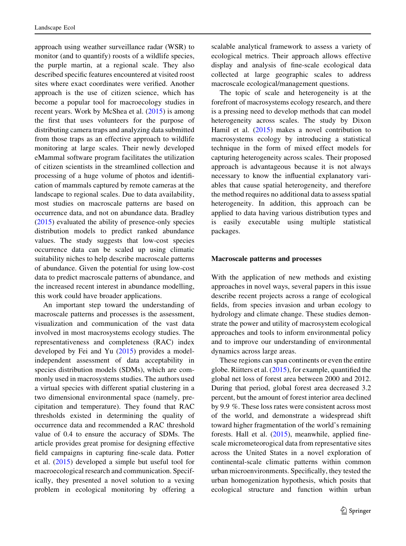approach using weather surveillance radar (WSR) to monitor (and to quantify) roosts of a wildlife species, the purple martin, at a regional scale. They also described specific features encountered at visited roost sites where exact coordinates were verified. Another approach is the use of citizen science, which has become a popular tool for macroecology studies in recent years. Work by McShea et al. ([2015\)](#page-5-0) is among the first that uses volunteers for the purpose of distributing camera traps and analyzing data submitted from those traps as an effective approach to wildlife monitoring at large scales. Their newly developed eMammal software program facilitates the utilization of citizen scientists in the streamlined collection and processing of a huge volume of photos and identification of mammals captured by remote cameras at the landscape to regional scales. Due to data availability, most studies on macroscale patterns are based on occurrence data, and not on abundance data. Bradley [\(2015](#page-4-0)) evaluated the ability of presence-only species distribution models to predict ranked abundance values. The study suggests that low-cost species occurrence data can be scaled up using climatic suitability niches to help describe macroscale patterns of abundance. Given the potential for using low-cost data to predict macroscale patterns of abundance, and the increased recent interest in abundance modelling, this work could have broader applications.

An important step toward the understanding of macroscale patterns and processes is the assessment, visualization and communication of the vast data involved in most macrosystems ecology studies. The representativeness and completeness (RAC) index developed by Fei and Yu [\(2015\)](#page-4-0) provides a modelindependent assessment of data acceptability in species distribution models (SDMs), which are commonly used in macrosystems studies. The authors used a virtual species with different spatial clustering in a two dimensional environmental space (namely, precipitation and temperature). They found that RAC thresholds existed in determining the quality of occurrence data and recommended a RAC threshold value of 0.4 to ensure the accuracy of SDMs. The article provides great promise for designing effective field campaigns in capturing fine-scale data. Potter et al. ([2015\)](#page-5-0) developed a simple but useful tool for macroecological research and communication. Specifically, they presented a novel solution to a vexing problem in ecological monitoring by offering a

scalable analytical framework to assess a variety of ecological metrics. Their approach allows effective display and analysis of fine-scale ecological data collected at large geographic scales to address macroscale ecological/management questions.

The topic of scale and heterogeneity is at the forefront of macrosystems ecology research, and there is a pressing need to develop methods that can model heterogeneity across scales. The study by Dixon Hamil et al. [\(2015](#page-4-0)) makes a novel contribution to macrosystems ecology by introducing a statistical technique in the form of mixed effect models for capturing heterogeneity across scales. Their proposed approach is advantageous because it is not always necessary to know the influential explanatory variables that cause spatial heterogeneity, and therefore the method requires no additional data to assess spatial heterogeneity. In addition, this approach can be applied to data having various distribution types and is easily executable using multiple statistical packages.

# Macroscale patterns and processes

With the application of new methods and existing approaches in novel ways, several papers in this issue describe recent projects across a range of ecological fields, from species invasion and urban ecology to hydrology and climate change. These studies demonstrate the power and utility of macrosystem ecological approaches and tools to inform environmental policy and to improve our understanding of environmental dynamics across large areas.

These regions can span continents or even the entire globe. Riitters et al. ([2015\)](#page-5-0), for example, quantified the global net loss of forest area between 2000 and 2012. During that period, global forest area decreased 3.2 percent, but the amount of forest interior area declined by 9.9 %. These loss rates were consistent across most of the world, and demonstrate a widespread shift toward higher fragmentation of the world's remaining forests. Hall et al. ([2015\)](#page-4-0), meanwhile, applied finescale micrometeorogical data from representative sites across the United States in a novel exploration of continental-scale climatic patterns within common urban microenvironments. Specifically, they tested the urban homogenization hypothesis, which posits that ecological structure and function within urban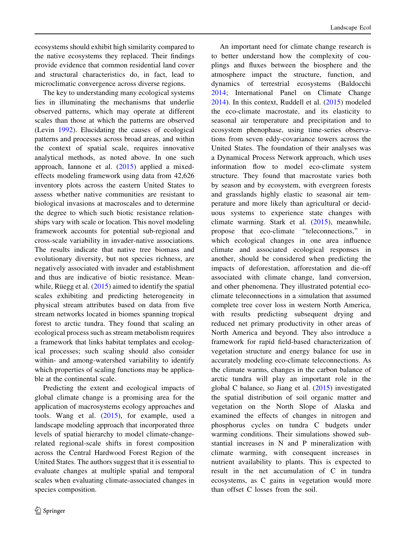An important need for climate change research is

ecosystems should exhibit high similarity compared to the native ecosystems they replaced. Their findings provide evidence that common residential land cover and structural characteristics do, in fact, lead to microclimatic convergence across diverse regions.

The key to understanding many ecological systems lies in illuminating the mechanisms that underlie observed patterns, which may operate at different scales than those at which the patterns are observed (Levin [1992](#page-5-0)). Elucidating the causes of ecological patterns and processes across broad areas, and within the context of spatial scale, requires innovative analytical methods, as noted above. In one such approach, Iannone et al. [\(2015](#page-4-0)) applied a mixedeffects modeling framework using data from 42,626 inventory plots across the eastern United States to assess whether native communities are resistant to biological invasions at macroscales and to determine the degree to which such biotic resistance relationships vary with scale or location. This novel modeling framework accounts for potential sub-regional and cross-scale variability in invader-native associations. The results indicate that native tree biomass and evolutionary diversity, but not species richness, are negatively associated with invader and establishment and thus are indicative of biotic resistance. Meanwhile, Rüegg et al.  $(2015)$  $(2015)$  aimed to identify the spatial scales exhibiting and predicting heterogeneity in physical stream attributes based on data from five stream networks located in biomes spanning tropical forest to arctic tundra. They found that scaling an ecological process such as stream metabolism requires a framework that links habitat templates and ecological processes; such scaling should also consider within- and among-watershed variability to identify which properties of scaling functions may be applicable at the continental scale.

Predicting the extent and ecological impacts of global climate change is a promising area for the application of macrosystems ecology approaches and tools. Wang et al. [\(2015](#page-5-0)), for example, used a landscape modeling approach that incorporated three levels of spatial hierarchy to model climate-changerelated regional-scale shifts in forest composition across the Central Hardwood Forest Region of the United States. The authors suggest that it is essential to evaluate changes at multiple spatial and temporal scales when evaluating climate-associated changes in species composition.

to better understand how the complexity of couplings and fluxes between the biosphere and the atmosphere impact the structure, function, and dynamics of terrestrial ecosystems (Baldocchi [2014;](#page-4-0) International Panel on Climate Change [2014\)](#page-4-0). In this context, Ruddell et al. [\(2015](#page-5-0)) modeled the eco-climate macrostate, and its elasticity to seasonal air temperature and precipitation and to ecosystem phenophase, using time-series observations from seven eddy-covariance towers across the United States. The foundation of their analyses was a Dynamical Process Network approach, which uses information flow to model eco-climate system structure. They found that macrostate varies both by season and by ecosystem, with evergreen forests and grasslands highly elastic to seasonal air temperature and more likely than agricultural or deciduous systems to experience state changes with climate warming. Stark et al. [\(2015](#page-5-0)), meanwhile, propose that eco-climate ''teleconnections,'' in which ecological changes in one area influence climate and associated ecological responses in another, should be considered when predicting the impacts of deforestation, afforestation and die-off associated with climate change, land conversion, and other phenomena. They illustrated potential ecoclimate teleconnections in a simulation that assumed complete tree cover loss in western North America, with results predicting subsequent drying and reduced net primary productivity in other areas of North America and beyond. They also introduce a framework for rapid field-based characterization of vegetation structure and energy balance for use in accurately modeling eco-climate teleconnections. As the climate warms, changes in the carbon balance of arctic tundra will play an important role in the global C balance, so Jiang et al. ([2015\)](#page-5-0) investigated the spatial distribution of soil organic matter and vegetation on the North Slope of Alaska and examined the effects of changes in nitrogen and phosphorus cycles on tundra C budgets under warming conditions. Their simulations showed substantial increases in N and P mineralization with climate warming, with consequent increases in nutrient availability to plants. This is expected to result in the net accumulation of C in tundra ecosystems, as C gains in vegetation would more than offset C losses from the soil.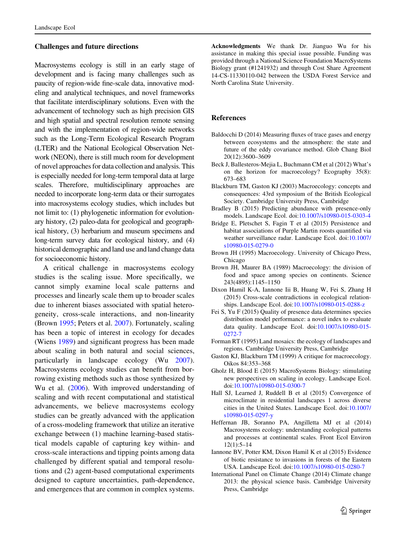# <span id="page-4-0"></span>Challenges and future directions

Macrosystems ecology is still in an early stage of development and is facing many challenges such as paucity of region-wide fine-scale data, innovative modeling and analytical techniques, and novel frameworks that facilitate interdisciplinary solutions. Even with the advancement of technology such as high precision GIS and high spatial and spectral resolution remote sensing and with the implementation of region-wide networks such as the Long-Term Ecological Research Program (LTER) and the National Ecological Observation Network (NEON), there is still much room for development of novel approaches for data collection and analysis. This is especially needed for long-term temporal data at large scales. Therefore, multidisciplinary approaches are needed to incorporate long-term data or their surrogates into macrosystems ecology studies, which includes but not limit to: (1) phylogenetic information for evolutionary history, (2) paleo-data for geological and geographical history, (3) herbarium and museum specimens and long-term survey data for ecological history, and (4) historical demographic and land use and land change data for socioeconomic history.

A critical challenge in macrosystems ecology studies is the scaling issue. More specifically, we cannot simply examine local scale patterns and processes and linearly scale them up to broader scales due to inherent biases associated with spatial heterogeneity, cross-scale interactions, and non-linearity (Brown 1995; Peters et al. [2007](#page-5-0)). Fortunately, scaling has been a topic of interest in ecology for decades (Wiens [1989](#page-5-0)) and significant progress has been made about scaling in both natural and social sciences, particularly in landscape ecology (Wu [2007](#page-5-0)). Macrosystems ecology studies can benefit from borrowing existing methods such as those synthesized by Wu et al. [\(2006](#page-5-0)). With improved understanding of scaling and with recent computational and statistical advancements, we believe macrosystems ecology studies can be greatly advanced with the application of a cross-modeling framework that utilize an iterative exchange between (1) machine learning-based statistical models capable of capturing key within- and cross-scale interactions and tipping points among data challenged by different spatial and temporal resolutions and (2) agent-based computational experiments designed to capture uncertainties, path-dependence, and emergences that are common in complex systems.

Acknowledgments We thank Dr. Jianguo Wu for his assistance in making this special issue possible. Funding was provided through a National Science Foundation MacroSystems Biology grant (#1241932) and through Cost Share Agreement 14-CS-11330110-042 between the USDA Forest Service and North Carolina State University.

#### References

- Baldocchi D (2014) Measuring fluxes of trace gases and energy between ecosystems and the atmosphere: the state and future of the eddy covariance method. Glob Chang Biol 20(12):3600–3609
- Beck J, Ballesteros-Mejia L, Buchmann CM et al (2012) What's on the horizon for macroecology? Ecography 35(8): 673–683
- Blackburn TM, Gaston KJ (2003) Macroecology: concepts and consequences: 43rd symposium of the British Ecological Society. Cambridge University Press, Cambridge
- Bradley B (2015) Predicting abundance with presence-only models. Landscape Ecol. doi:[10.1007/s10980-015-0303-4](http://dx.doi.org/10.1007/s10980-015-0303-4)
- Bridge E, Pletschet S, Fagin T et al (2015) Persistence and habitat associations of Purple Martin roosts quantified via weather surveillance radar. Landscape Ecol. doi[:10.1007/](http://dx.doi.org/10.1007/s10980-015-0279-0) [s10980-015-0279-0](http://dx.doi.org/10.1007/s10980-015-0279-0)
- Brown JH (1995) Macroecology. University of Chicago Press, Chicago
- Brown JH, Maurer BA (1989) Macroecology: the division of food and space among species on continents. Science 243(4895):1145–1150
- Dixon Hamil K-A, Iannone Iii B, Huang W, Fei S, Zhang H (2015) Cross-scale contradictions in ecological relationships. Landscape Ecol. doi:[10.1007/s10980-015-0288-z](http://dx.doi.org/10.1007/s10980-015-0288-z)
- Fei S, Yu F (2015) Quality of presence data determines species distribution model performance: a novel index to evaluate data quality. Landscape Ecol. doi:[10.1007/s10980-015-](http://dx.doi.org/10.1007/s10980-015-0272-7) [0272-7](http://dx.doi.org/10.1007/s10980-015-0272-7)
- Forman RT (1995) Land mosaics: the ecology of landscapes and regions. Cambridge University Press, Cambridge
- Gaston KJ, Blackburn TM (1999) A critique for macroecology. Oikos 84:353–368
- Gholz H, Blood E (2015) MacroSystems Biology: stimulating new perspectives on scaling in ecology. Landscape Ecol. doi[:10.1007/s10980-015-0300-7](http://dx.doi.org/10.1007/s10980-015-0300-7)
- Hall SJ, Learned J, Ruddell B et al (2015) Convergence of microclimate in residential landscapes 1 across diverse cities in the United States. Landscape Ecol. doi[:10.1007/](http://dx.doi.org/10.1007/s10980-015-0297-y) [s10980-015-0297-y](http://dx.doi.org/10.1007/s10980-015-0297-y)
- Heffernan JB, Soranno PA, Angilletta MJ et al (2014) Macrosystems ecology: understanding ecological patterns and processes at continental scales. Front Ecol Environ 12(1):5–14
- Iannone BV, Potter KM, Dixon Hamil K et al (2015) Evidence of biotic resistance to invasions in forests of the Eastern USA. Landscape Ecol. doi[:10.1007/s10980-015-0280-7](http://dx.doi.org/10.1007/s10980-015-0280-7)
- International Panel on Climate Change (2014) Climate change 2013: the physical science basis. Cambridge University Press, Cambridge